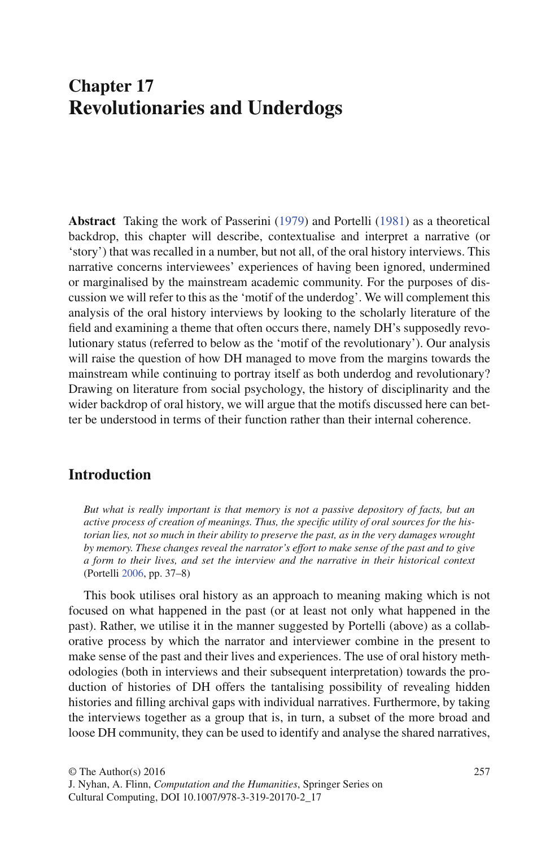# **Chapter 17 Revolutionaries and Underdogs**

 **Abstract** Taking the work of Passerini [\( 1979](#page-17-0) ) and Portelli ( [1981 \)](#page-17-0) as a theoretical backdrop, this chapter will describe, contextualise and interpret a narrative (or 'story') that was recalled in a number, but not all, of the oral history interviews. This narrative concerns interviewees' experiences of having been ignored, undermined or marginalised by the mainstream academic community. For the purposes of discussion we will refer to this as the 'motif of the underdog'. We will complement this analysis of the oral history interviews by looking to the scholarly literature of the field and examining a theme that often occurs there, namely DH's supposedly revolutionary status (referred to below as the 'motif of the revolutionary'). Our analysis will raise the question of how DH managed to move from the margins towards the mainstream while continuing to portray itself as both underdog and revolutionary? Drawing on literature from social psychology, the history of disciplinarity and the wider backdrop of oral history, we will argue that the motifs discussed here can better be understood in terms of their function rather than their internal coherence.

# **Introduction**

*But what is really important is that memory is not a passive depository of facts, but an*  active process of creation of meanings. Thus, the specific utility of oral sources for the his*torian lies, not so much in their ability to preserve the past, as in the very damages wrought by memory. These changes reveal the narrator's effort to make sense of the past and to give a form to their lives, and set the interview and the narrative in their historical context* (Portelli 2006, pp. 37-8)

 This book utilises oral history as an approach to meaning making which is not focused on what happened in the past (or at least not only what happened in the past). Rather, we utilise it in the manner suggested by Portelli (above) as a collaborative process by which the narrator and interviewer combine in the present to make sense of the past and their lives and experiences. The use of oral history methodologies (both in interviews and their subsequent interpretation) towards the production of histories of DH offers the tantalising possibility of revealing hidden histories and filling archival gaps with individual narratives. Furthermore, by taking the interviews together as a group that is, in turn, a subset of the more broad and loose DH community, they can be used to identify and analyse the shared narratives,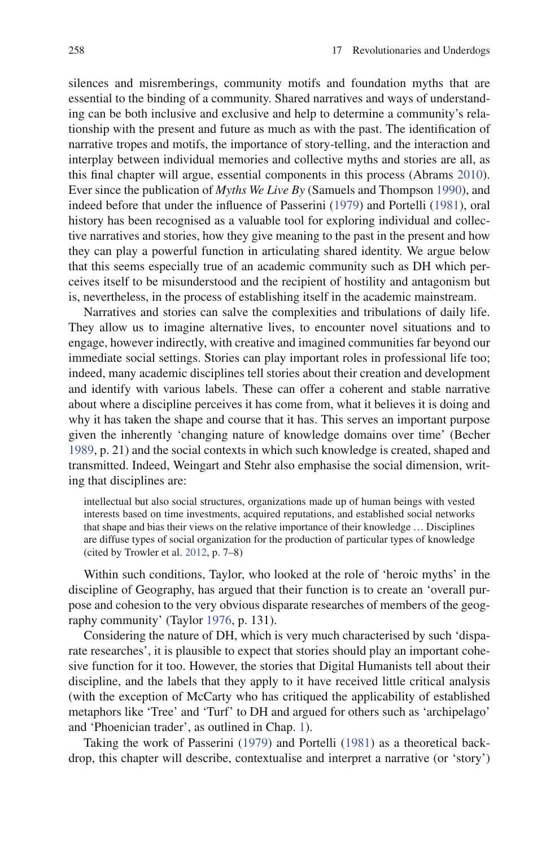silences and misremberings, community motifs and foundation myths that are essential to the binding of a community. Shared narratives and ways of understanding can be both inclusive and exclusive and help to determine a community's relationship with the present and future as much as with the past. The identification of narrative tropes and motifs, the importance of story-telling, and the interaction and interplay between individual memories and collective myths and stories are all, as this final chapter will argue, essential components in this process (Abrams 2010). Ever since the publication of *Myths We Live By* (Samuels and Thompson [1990](#page-18-0)), and indeed before that under the influence of Passerini (1979) and Portelli (1981), oral history has been recognised as a valuable tool for exploring individual and collective narratives and stories, how they give meaning to the past in the present and how they can play a powerful function in articulating shared identity. We argue below that this seems especially true of an academic community such as DH which perceives itself to be misunderstood and the recipient of hostility and antagonism but is, nevertheless, in the process of establishing itself in the academic mainstream.

 Narratives and stories can salve the complexities and tribulations of daily life. They allow us to imagine alternative lives, to encounter novel situations and to engage, however indirectly, with creative and imagined communities far beyond our immediate social settings. Stories can play important roles in professional life too; indeed, many academic disciplines tell stories about their creation and development and identify with various labels. These can offer a coherent and stable narrative about where a discipline perceives it has come from, what it believes it is doing and why it has taken the shape and course that it has. This serves an important purpose given the inherently 'changing nature of knowledge domains over time' (Becher [1989 ,](#page-16-0) p. 21) and the social contexts in which such knowledge is created, shaped and transmitted. Indeed, Weingart and Stehr also emphasise the social dimension, writing that disciplines are:

 intellectual but also social structures, organizations made up of human beings with vested interests based on time investments, acquired reputations, and established social networks that shape and bias their views on the relative importance of their knowledge … Disciplines are diffuse types of social organization for the production of particular types of knowledge (cited by Trowler et al.  $2012$ , p.  $7-8$ )

 Within such conditions, Taylor, who looked at the role of 'heroic myths' in the discipline of Geography, has argued that their function is to create an 'overall purpose and cohesion to the very obvious disparate researches of members of the geog-raphy community' (Taylor [1976](#page-18-0), p. 131).

 Considering the nature of DH, which is very much characterised by such 'disparate researches', it is plausible to expect that stories should play an important cohesive function for it too. However, the stories that Digital Humanists tell about their discipline, and the labels that they apply to it have received little critical analysis (with the exception of McCarty who has critiqued the applicability of established metaphors like 'Tree' and 'Turf' to DH and argued for others such as 'archipelago' and 'Phoenician trader', as outlined in Chap. [1](http://dx.doi.org/10.1007/978-3-319-20170-2_1)).

Taking the work of Passerini (1979) and Portelli (1981) as a theoretical backdrop, this chapter will describe, contextualise and interpret a narrative (or 'story')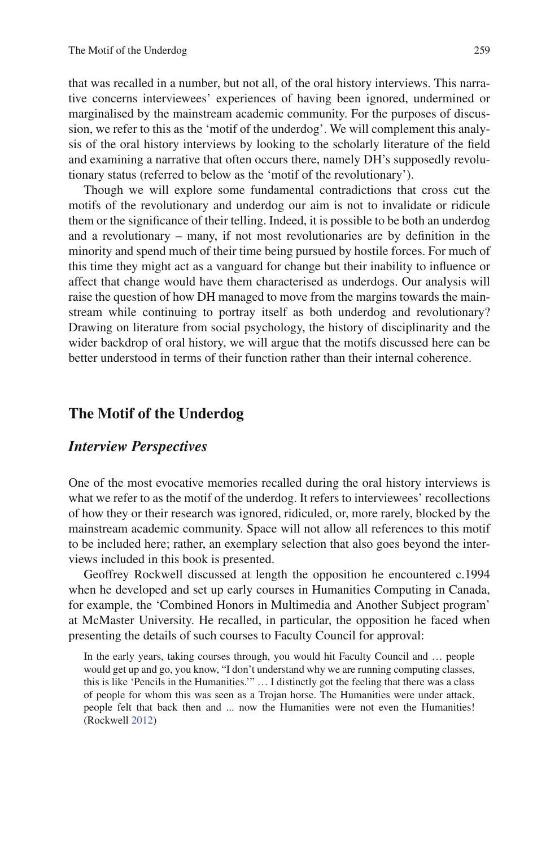that was recalled in a number, but not all, of the oral history interviews. This narrative concerns interviewees' experiences of having been ignored, undermined or marginalised by the mainstream academic community. For the purposes of discussion, we refer to this as the 'motif of the underdog'. We will complement this analysis of the oral history interviews by looking to the scholarly literature of the field and examining a narrative that often occurs there, namely DH's supposedly revolutionary status (referred to below as the 'motif of the revolutionary').

 Though we will explore some fundamental contradictions that cross cut the motifs of the revolutionary and underdog our aim is not to invalidate or ridicule them or the significance of their telling. Indeed, it is possible to be both an underdog and a revolutionary – many, if not most revolutionaries are by definition in the minority and spend much of their time being pursued by hostile forces. For much of this time they might act as a vanguard for change but their inability to influence or affect that change would have them characterised as underdogs. Our analysis will raise the question of how DH managed to move from the margins towards the mainstream while continuing to portray itself as both underdog and revolutionary? Drawing on literature from social psychology, the history of disciplinarity and the wider backdrop of oral history, we will argue that the motifs discussed here can be better understood in terms of their function rather than their internal coherence.

## **The Motif of the Underdog**

#### *Interview Perspectives*

 One of the most evocative memories recalled during the oral history interviews is what we refer to as the motif of the underdog. It refers to interviewees' recollections of how they or their research was ignored, ridiculed, or, more rarely, blocked by the mainstream academic community. Space will not allow all references to this motif to be included here; rather, an exemplary selection that also goes beyond the interviews included in this book is presented.

 Geoffrey Rockwell discussed at length the opposition he encountered c.1994 when he developed and set up early courses in Humanities Computing in Canada, for example, the 'Combined Honors in Multimedia and Another Subject program' at McMaster University. He recalled, in particular, the opposition he faced when presenting the details of such courses to Faculty Council for approval:

 In the early years, taking courses through, you would hit Faculty Council and … people would get up and go, you know, "I don't understand why we are running computing classes, this is like 'Pencils in the Humanities.'" … I distinctly got the feeling that there was a class of people for whom this was seen as a Trojan horse. The Humanities were under attack, people felt that back then and ... now the Humanities were not even the Humanities! (Rockwell [2012](#page-18-0))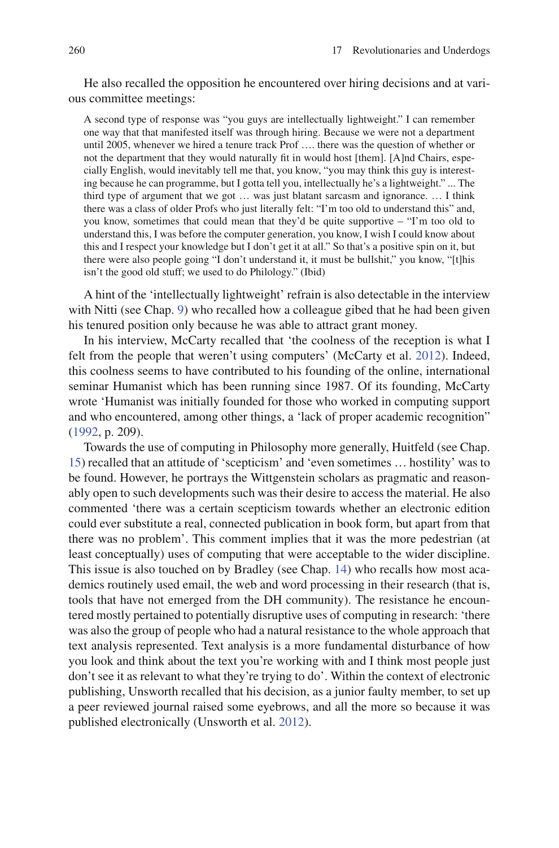He also recalled the opposition he encountered over hiring decisions and at various committee meetings:

 A second type of response was "you guys are intellectually lightweight." I can remember one way that that manifested itself was through hiring. Because we were not a department until 2005, whenever we hired a tenure track Prof …. there was the question of whether or not the department that they would naturally fit in would host [them]. [A]nd Chairs, especially English, would inevitably tell me that, you know, "you may think this guy is interesting because he can programme, but I gotta tell you, intellectually he's a lightweight." ... The third type of argument that we got … was just blatant sarcasm and ignorance. … I think there was a class of older Profs who just literally felt: "I'm too old to understand this" and, you know, sometimes that could mean that they'd be quite supportive – "I'm too old to understand this, I was before the computer generation, you know, I wish I could know about this and I respect your knowledge but I don't get it at all." So that's a positive spin on it, but there were also people going "I don't understand it, it must be bullshit," you know, "[t]his isn't the good old stuff; we used to do Philology." (Ibid)

 A hint of the 'intellectually lightweight' refrain is also detectable in the interview with Nitti (see Chap. [9\)](http://dx.doi.org/10.1007/978-3-319-20170-2_9) who recalled how a colleague gibed that he had been given his tenured position only because he was able to attract grant money.

 In his interview, McCarty recalled that 'the coolness of the reception is what I felt from the people that weren't using computers' (McCarty et al. 2012). Indeed, this coolness seems to have contributed to his founding of the online, international seminar Humanist which has been running since 1987. Of its founding, McCarty wrote 'Humanist was initially founded for those who worked in computing support and who encountered, among other things, a 'lack of proper academic recognition"  $(1992, p. 209)$ .

 Towards the use of computing in Philosophy more generally, Huitfeld (see Chap.  [15\)](http://dx.doi.org/10.1007/978-3-319-20170-2_15) recalled that an attitude of 'scepticism' and 'even sometimes … hostility' was to be found. However, he portrays the Wittgenstein scholars as pragmatic and reasonably open to such developments such was their desire to access the material. He also commented 'there was a certain scepticism towards whether an electronic edition could ever substitute a real, connected publication in book form, but apart from that there was no problem'. This comment implies that it was the more pedestrian (at least conceptually) uses of computing that were acceptable to the wider discipline. This issue is also touched on by Bradley (see Chap. [14\)](http://dx.doi.org/10.1007/978-3-319-20170-2_14) who recalls how most academics routinely used email, the web and word processing in their research (that is, tools that have not emerged from the DH community). The resistance he encountered mostly pertained to potentially disruptive uses of computing in research: 'there was also the group of people who had a natural resistance to the whole approach that text analysis represented. Text analysis is a more fundamental disturbance of how you look and think about the text you're working with and I think most people just don't see it as relevant to what they're trying to do'. Within the context of electronic publishing, Unsworth recalled that his decision, as a junior faulty member, to set up a peer reviewed journal raised some eyebrows, and all the more so because it was published electronically (Unsworth et al. [2012](#page-18-0)).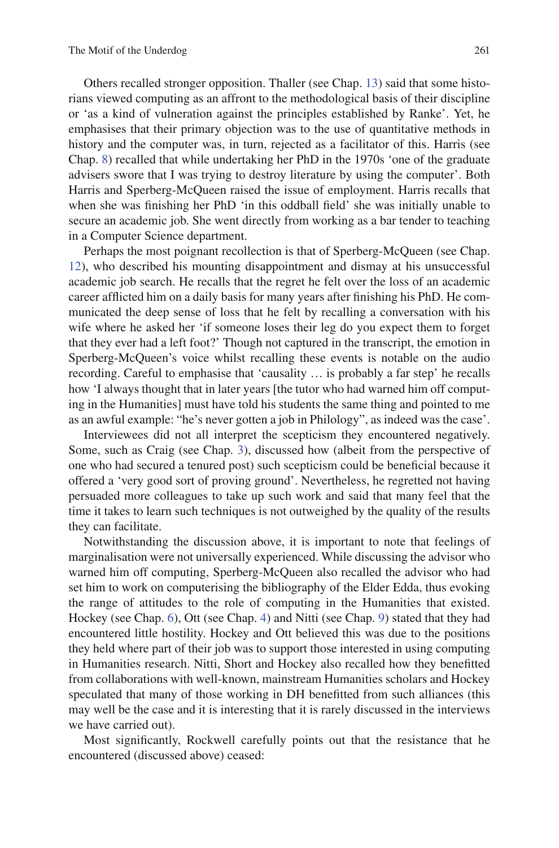Others recalled stronger opposition. Thaller (see Chap. [13](http://dx.doi.org/10.1007/978-3-319-20170-2_13)) said that some historians viewed computing as an affront to the methodological basis of their discipline or 'as a kind of vulneration against the principles established by Ranke'. Yet, he emphasises that their primary objection was to the use of quantitative methods in history and the computer was, in turn, rejected as a facilitator of this. Harris (see Chap. [8](http://dx.doi.org/10.1007/978-3-319-20170-2_8)) recalled that while undertaking her PhD in the 1970s 'one of the graduate advisers swore that I was trying to destroy literature by using the computer'. Both Harris and Sperberg-McQueen raised the issue of employment. Harris recalls that when she was finishing her PhD 'in this oddball field' she was initially unable to secure an academic job. She went directly from working as a bar tender to teaching in a Computer Science department.

 Perhaps the most poignant recollection is that of Sperberg-McQueen (see Chap.  [12\)](http://dx.doi.org/10.1007/978-3-319-20170-2_12), who described his mounting disappointment and dismay at his unsuccessful academic job search. He recalls that the regret he felt over the loss of an academic career afflicted him on a daily basis for many years after finishing his PhD. He communicated the deep sense of loss that he felt by recalling a conversation with his wife where he asked her 'if someone loses their leg do you expect them to forget that they ever had a left foot?' Though not captured in the transcript, the emotion in Sperberg-McQueen's voice whilst recalling these events is notable on the audio recording. Careful to emphasise that 'causality … is probably a far step' he recalls how 'I always thought that in later years [the tutor who had warned him off computing in the Humanities] must have told his students the same thing and pointed to me as an awful example: "he's never gotten a job in Philology", as indeed was the case'.

 Interviewees did not all interpret the scepticism they encountered negatively. Some, such as Craig (see Chap. [3\)](http://dx.doi.org/10.1007/978-3-319-20170-2_3), discussed how (albeit from the perspective of one who had secured a tenured post) such scepticism could be beneficial because it offered a 'very good sort of proving ground'. Nevertheless, he regretted not having persuaded more colleagues to take up such work and said that many feel that the time it takes to learn such techniques is not outweighed by the quality of the results they can facilitate.

 Notwithstanding the discussion above, it is important to note that feelings of marginalisation were not universally experienced. While discussing the advisor who warned him off computing, Sperberg-McQueen also recalled the advisor who had set him to work on computerising the bibliography of the Elder Edda, thus evoking the range of attitudes to the role of computing in the Humanities that existed. Hockey (see Chap. [6\)](http://dx.doi.org/10.1007/978-3-319-20170-2_6), Ott (see Chap. [4\)](http://dx.doi.org/10.1007/978-3-319-20170-2_4) and Nitti (see Chap. [9\)](http://dx.doi.org/10.1007/978-3-319-20170-2_9) stated that they had encountered little hostility. Hockey and Ott believed this was due to the positions they held where part of their job was to support those interested in using computing in Humanities research. Nitti, Short and Hockey also recalled how they benefitted from collaborations with well-known, mainstream Humanities scholars and Hockey speculated that many of those working in DH benefitted from such alliances (this may well be the case and it is interesting that it is rarely discussed in the interviews we have carried out).

Most significantly, Rockwell carefully points out that the resistance that he encountered (discussed above) ceased: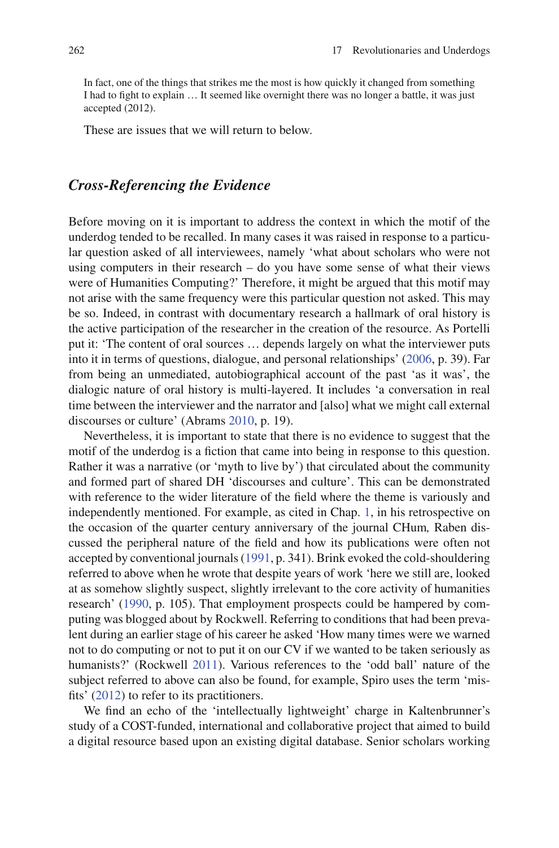In fact, one of the things that strikes me the most is how quickly it changed from something I had to fight to explain ... It seemed like overnight there was no longer a battle, it was just accepted (2012).

These are issues that we will return to below.

#### *Cross-Referencing the Evidence*

 Before moving on it is important to address the context in which the motif of the underdog tended to be recalled. In many cases it was raised in response to a particular question asked of all interviewees, namely 'what about scholars who were not using computers in their research – do you have some sense of what their views were of Humanities Computing?' Therefore, it might be argued that this motif may not arise with the same frequency were this particular question not asked. This may be so. Indeed, in contrast with documentary research a hallmark of oral history is the active participation of the researcher in the creation of the resource. As Portelli put it: 'The content of oral sources … depends largely on what the interviewer puts into it in terms of questions, dialogue, and personal relationships' (2006, p. 39). Far from being an unmediated, autobiographical account of the past 'as it was', the dialogic nature of oral history is multi-layered. It includes 'a conversation in real time between the interviewer and the narrator and [also] what we might call external discourses or culture' (Abrams 2010, p. 19).

 Nevertheless, it is important to state that there is no evidence to suggest that the motif of the underdog is a fiction that came into being in response to this question. Rather it was a narrative (or 'myth to live by') that circulated about the community and formed part of shared DH 'discourses and culture'. This can be demonstrated with reference to the wider literature of the field where the theme is variously and independently mentioned. For example, as cited in Chap. [1](http://dx.doi.org/10.1007/978-3-319-20170-2_1), in his retrospective on the occasion of the quarter century anniversary of the journal CHum, Raben discussed the peripheral nature of the field and how its publications were often not accepted by conventional journals ( [1991 ,](#page-17-0) p. 341). Brink evoked the cold- shouldering referred to above when he wrote that despite years of work 'here we still are, looked at as somehow slightly suspect, slightly irrelevant to the core activity of humanities research' (1990, p. 105). That employment prospects could be hampered by computing was blogged about by Rockwell. Referring to conditions that had been prevalent during an earlier stage of his career he asked 'How many times were we warned not to do computing or not to put it on our CV if we wanted to be taken seriously as humanists?' (Rockwell [2011](#page-18-0)). Various references to the 'odd ball' nature of the subject referred to above can also be found, for example, Spiro uses the term 'misfits'  $(2012)$  to refer to its practitioners.

We find an echo of the 'intellectually lightweight' charge in Kaltenbrunner's study of a COST-funded, international and collaborative project that aimed to build a digital resource based upon an existing digital database. Senior scholars working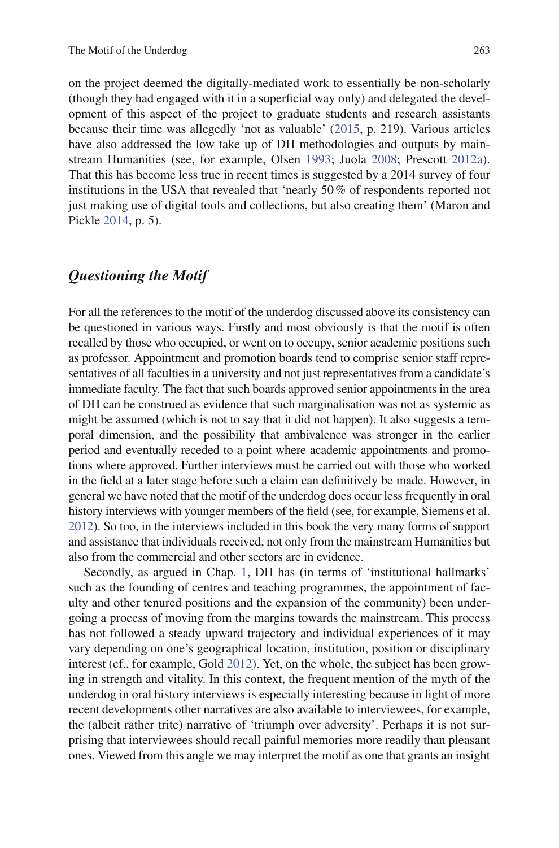on the project deemed the digitally-mediated work to essentially be non-scholarly (though they had engaged with it in a superficial way only) and delegated the development of this aspect of the project to graduate students and research assistants because their time was allegedly 'not as valuable' (2015, p. 219). Various articles have also addressed the low take up of DH methodologies and outputs by main-stream Humanities (see, for example, Olsen [1993](#page-17-0); Juola [2008](#page-16-0); Prescott 2012a). That this has become less true in recent times is suggested by a 2014 survey of four institutions in the USA that revealed that 'nearly 50 % of respondents reported not just making use of digital tools and collections, but also creating them' (Maron and Pickle [2014](#page-17-0), p. 5).

## *Questioning the Motif*

 For all the references to the motif of the underdog discussed above its consistency can be questioned in various ways. Firstly and most obviously is that the motif is often recalled by those who occupied, or went on to occupy, senior academic positions such as professor. Appointment and promotion boards tend to comprise senior staff representatives of all faculties in a university and not just representatives from a candidate's immediate faculty. The fact that such boards approved senior appointments in the area of DH can be construed as evidence that such marginalisation was not as systemic as might be assumed (which is not to say that it did not happen). It also suggests a temporal dimension, and the possibility that ambivalence was stronger in the earlier period and eventually receded to a point where academic appointments and promotions where approved. Further interviews must be carried out with those who worked in the field at a later stage before such a claim can definitively be made. However, in general we have noted that the motif of the underdog does occur less frequently in oral history interviews with younger members of the field (see, for example, Siemens et al. [2012](#page-18-0) ). So too, in the interviews included in this book the very many forms of support and assistance that individuals received, not only from the mainstream Humanities but also from the commercial and other sectors are in evidence.

 Secondly, as argued in Chap. [1,](http://dx.doi.org/10.1007/978-3-319-20170-2_1) DH has (in terms of 'institutional hallmarks' such as the founding of centres and teaching programmes, the appointment of faculty and other tenured positions and the expansion of the community) been undergoing a process of moving from the margins towards the mainstream. This process has not followed a steady upward trajectory and individual experiences of it may vary depending on one's geographical location, institution, position or disciplinary interest (cf., for example, Gold [2012](#page-16-0)). Yet, on the whole, the subject has been growing in strength and vitality. In this context, the frequent mention of the myth of the underdog in oral history interviews is especially interesting because in light of more recent developments other narratives are also available to interviewees, for example, the (albeit rather trite) narrative of 'triumph over adversity'. Perhaps it is not surprising that interviewees should recall painful memories more readily than pleasant ones. Viewed from this angle we may interpret the motif as one that grants an insight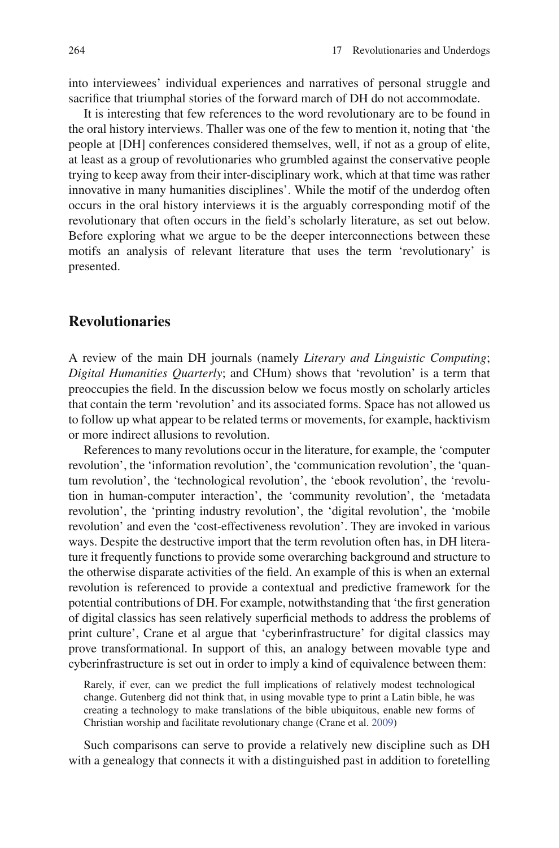into interviewees' individual experiences and narratives of personal struggle and sacrifice that triumphal stories of the forward march of DH do not accommodate.

 It is interesting that few references to the word revolutionary are to be found in the oral history interviews. Thaller was one of the few to mention it, noting that 'the people at [DH] conferences considered themselves, well, if not as a group of elite, at least as a group of revolutionaries who grumbled against the conservative people trying to keep away from their inter-disciplinary work, which at that time was rather innovative in many humanities disciplines'. While the motif of the underdog often occurs in the oral history interviews it is the arguably corresponding motif of the revolutionary that often occurs in the field's scholarly literature, as set out below. Before exploring what we argue to be the deeper interconnections between these motifs an analysis of relevant literature that uses the term 'revolutionary' is presented.

# **Revolutionaries**

 A review of the main DH journals (namely *Literary and Linguistic Computing* ; *Digital Humanities Quarterly*; and CHum) shows that 'revolution' is a term that preoccupies the field. In the discussion below we focus mostly on scholarly articles that contain the term 'revolution' and its associated forms. Space has not allowed us to follow up what appear to be related terms or movements, for example, hacktivism or more indirect allusions to revolution.

 References to many revolutions occur in the literature, for example, the 'computer revolution', the 'information revolution', the 'communication revolution', the 'quantum revolution', the 'technological revolution', the 'ebook revolution', the 'revolution in human-computer interaction', the 'community revolution', the 'metadata revolution', the 'printing industry revolution', the 'digital revolution', the 'mobile revolution' and even the 'cost-effectiveness revolution'. They are invoked in various ways. Despite the destructive import that the term revolution often has, in DH literature it frequently functions to provide some overarching background and structure to the otherwise disparate activities of the field. An example of this is when an external revolution is referenced to provide a contextual and predictive framework for the potential contributions of DH. For example, notwithstanding that 'the first generation of digital classics has seen relatively superficial methods to address the problems of print culture', Crane et al argue that 'cyberinfrastructure' for digital classics may prove transformational. In support of this, an analogy between movable type and cyberinfrastructure is set out in order to imply a kind of equivalence between them:

 Rarely, if ever, can we predict the full implications of relatively modest technological change. Gutenberg did not think that, in using movable type to print a Latin bible, he was creating a technology to make translations of the bible ubiquitous, enable new forms of Christian worship and facilitate revolutionary change (Crane et al. [2009](#page-16-0) )

 Such comparisons can serve to provide a relatively new discipline such as DH with a genealogy that connects it with a distinguished past in addition to foretelling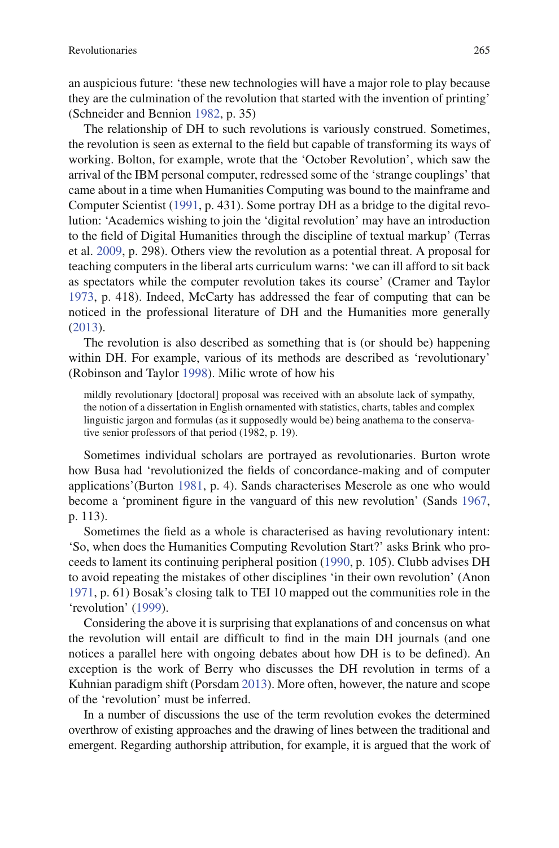an auspicious future: 'these new technologies will have a major role to play because they are the culmination of the revolution that started with the invention of printing' (Schneider and Bennion [1982](#page-18-0), p. 35)

 The relationship of DH to such revolutions is variously construed. Sometimes, the revolution is seen as external to the field but capable of transforming its ways of working. Bolton, for example, wrote that the 'October Revolution', which saw the arrival of the IBM personal computer, redressed some of the 'strange couplings' that came about in a time when Humanities Computing was bound to the mainframe and Computer Scientist (1991, p. 431). Some portray DH as a bridge to the digital revolution: 'Academics wishing to join the 'digital revolution' may have an introduction to the field of Digital Humanities through the discipline of textual markup' (Terras et al. [2009 ,](#page-18-0) p. 298). Others view the revolution as a potential threat. A proposal for teaching computers in the liberal arts curriculum warns: 'we can ill afford to sit back as spectators while the computer revolution takes its course' (Cramer and Taylor [1973 ,](#page-16-0) p. 418). Indeed, McCarty has addressed the fear of computing that can be noticed in the professional literature of DH and the Humanities more generally  $(2013).$ 

 The revolution is also described as something that is (or should be) happening within DH. For example, various of its methods are described as 'revolutionary' (Robinson and Taylor [1998](#page-17-0) ). Milic wrote of how his

 mildly revolutionary [doctoral] proposal was received with an absolute lack of sympathy, the notion of a dissertation in English ornamented with statistics, charts, tables and complex linguistic jargon and formulas (as it supposedly would be) being anathema to the conservative senior professors of that period (1982, p. 19).

 Sometimes individual scholars are portrayed as revolutionaries. Burton wrote how Busa had 'revolutionized the fields of concordance-making and of computer applications' (Burton 1981, p. 4). Sands characterises Meserole as one who would become a 'prominent figure in the vanguard of this new revolution' (Sands [1967](#page-18-0), p. 113).

Sometimes the field as a whole is characterised as having revolutionary intent: 'So, when does the Humanities Computing Revolution Start?' asks Brink who proceeds to lament its continuing peripheral position [\( 1990](#page-16-0) , p. 105). Clubb advises DH to avoid repeating the mistakes of other disciplines 'in their own revolution' (Anon [1971 ,](#page-15-0) p. 61) Bosak's closing talk to TEI 10 mapped out the communities role in the 'revolution' (1999).

 Considering the above it is surprising that explanations of and concensus on what the revolution will entail are difficult to find in the main DH journals (and one notices a parallel here with ongoing debates about how DH is to be defined). An exception is the work of Berry who discusses the DH revolution in terms of a Kuhnian paradigm shift (Porsdam [2013](#page-17-0) ). More often, however, the nature and scope of the 'revolution' must be inferred.

 In a number of discussions the use of the term revolution evokes the determined overthrow of existing approaches and the drawing of lines between the traditional and emergent. Regarding authorship attribution, for example, it is argued that the work of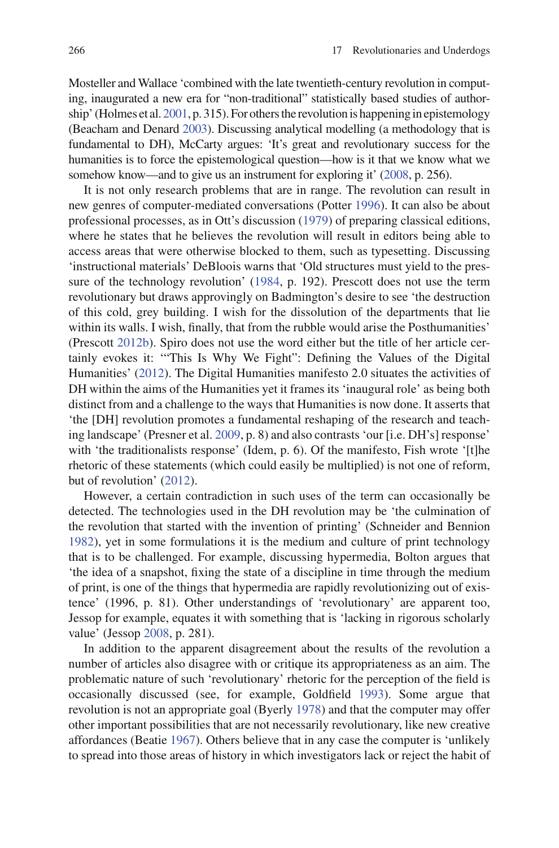Mosteller and Wallace 'combined with the late twentieth-century revolution in computing, inaugurated a new era for "non-traditional" statistically based studies of authorship' (Holmes et al. 2001, p. 315). For others the revolution is happening in epistemology (Beacham and Denard [2003](#page-15-0)). Discussing analytical modelling (a methodology that is fundamental to DH), McCarty argues: 'It's great and revolutionary success for the humanities is to force the epistemological question—how is it that we know what we somehow know—and to give us an instrument for exploring it' (2008, p. 256).

 It is not only research problems that are in range. The revolution can result in new genres of computer-mediated conversations (Potter [1996](#page-17-0)). It can also be about professional processes, as in Ott's discussion [\( 1979](#page-17-0) ) of preparing classical editions, where he states that he believes the revolution will result in editors being able to access areas that were otherwise blocked to them, such as typesetting. Discussing 'instructional materials' DeBloois warns that 'Old structures must yield to the pressure of the technology revolution' (1984, p. 192). Prescott does not use the term revolutionary but draws approvingly on Badmington's desire to see 'the destruction of this cold, grey building. I wish for the dissolution of the departments that lie within its walls. I wish, finally, that from the rubble would arise the Posthumanities' (Prescott  $2012b$ ). Spiro does not use the word either but the title of her article certainly evokes it: "This Is Why We Fight": Defining the Values of the Digital Humanities' (2012). The Digital Humanities manifesto 2.0 situates the activities of DH within the aims of the Humanities yet it frames its 'inaugural role' as being both distinct from and a challenge to the ways that Humanities is now done. It asserts that 'the [DH] revolution promotes a fundamental reshaping of the research and teach-ing landscape' (Presner et al. [2009](#page-17-0), p. 8) and also contrasts 'our [i.e. DH's] response' with 'the traditionalists response' (Idem, p. 6). Of the manifesto, Fish wrote '[t]he rhetoric of these statements (which could easily be multiplied) is not one of reform, but of revolution' (2012).

 However, a certain contradiction in such uses of the term can occasionally be detected. The technologies used in the DH revolution may be 'the culmination of the revolution that started with the invention of printing' (Schneider and Bennion 1982), yet in some formulations it is the medium and culture of print technology that is to be challenged. For example, discussing hypermedia, Bolton argues that 'the idea of a snapshot, fixing the state of a discipline in time through the medium of print, is one of the things that hypermedia are rapidly revolutionizing out of existence' (1996, p. 81). Other understandings of 'revolutionary' are apparent too, Jessop for example, equates it with something that is 'lacking in rigorous scholarly value' (Jessop [2008](#page-16-0), p. 281).

 In addition to the apparent disagreement about the results of the revolution a number of articles also disagree with or critique its appropriateness as an aim. The problematic nature of such 'revolutionary' rhetoric for the perception of the field is occasionally discussed (see, for example, Goldfield [1993](#page-16-0)). Some argue that revolution is not an appropriate goal (Byerly 1978) and that the computer may offer other important possibilities that are not necessarily revolutionary, like new creative affordances (Beatie 1967). Others believe that in any case the computer is 'unlikely to spread into those areas of history in which investigators lack or reject the habit of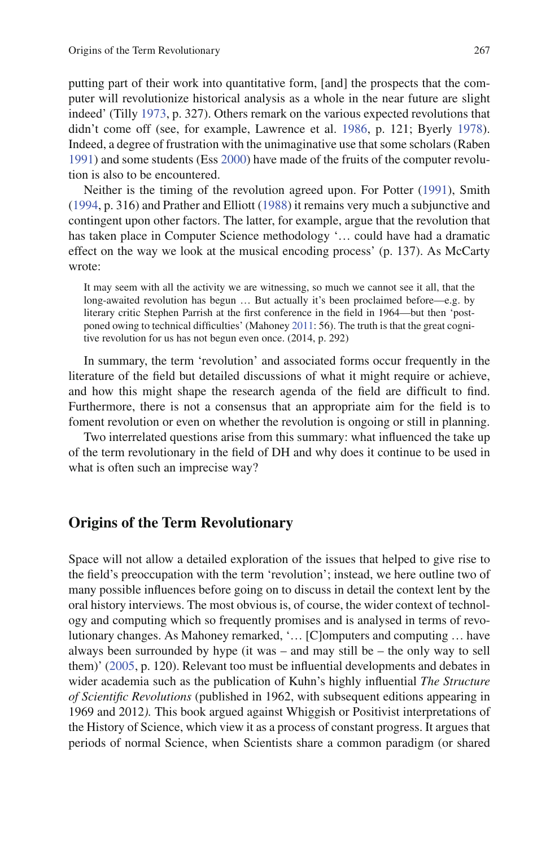putting part of their work into quantitative form, [and] the prospects that the computer will revolutionize historical analysis as a whole in the near future are slight indeed' (Tilly [1973 ,](#page-18-0) p. 327). Others remark on the various expected revolutions that didn't come off (see, for example, Lawrence et al. 1986, p. 121; Byerly 1978). Indeed, a degree of frustration with the unimaginative use that some scholars (Raben [1991 \)](#page-17-0) and some students (Ess [2000 \)](#page-16-0) have made of the fruits of the computer revolution is also to be encountered.

Neither is the timing of the revolution agreed upon. For Potter (1991), Smith [\( 1994](#page-18-0) , p. 316) and Prather and Elliott [\( 1988](#page-17-0) ) it remains very much a subjunctive and contingent upon other factors. The latter, for example, argue that the revolution that has taken place in Computer Science methodology '… could have had a dramatic effect on the way we look at the musical encoding process' (p. 137). As McCarty wrote:

 It may seem with all the activity we are witnessing, so much we cannot see it all, that the long-awaited revolution has begun … But actually it's been proclaimed before—e.g. by literary critic Stephen Parrish at the first conference in the field in 1964—but then 'postponed owing to technical difficulties' (Mahoney 2011: 56). The truth is that the great cognitive revolution for us has not begun even once. (2014, p. 292)

 In summary, the term 'revolution' and associated forms occur frequently in the literature of the field but detailed discussions of what it might require or achieve, and how this might shape the research agenda of the field are difficult to find. Furthermore, there is not a consensus that an appropriate aim for the field is to foment revolution or even on whether the revolution is ongoing or still in planning.

Two interrelated questions arise from this summary: what influenced the take up of the term revolutionary in the field of DH and why does it continue to be used in what is often such an imprecise way?

### **Origins of the Term Revolutionary**

 Space will not allow a detailed exploration of the issues that helped to give rise to the field's preoccupation with the term 'revolution'; instead, we here outline two of many possible influences before going on to discuss in detail the context lent by the oral history interviews. The most obvious is, of course, the wider context of technology and computing which so frequently promises and is analysed in terms of revolutionary changes. As Mahoney remarked, '… [C]omputers and computing … have always been surrounded by hype (it was – and may still be – the only way to sell them)' (2005, p. 120). Relevant too must be influential developments and debates in wider academia such as the publication of Kuhn's highly influential *The Structure of Scientific Revolutions* (published in 1962, with subsequent editions appearing in 1969 and 2012). This book argued against Whiggish or Positivist interpretations of the History of Science, which view it as a process of constant progress. It argues that periods of normal Science, when Scientists share a common paradigm (or shared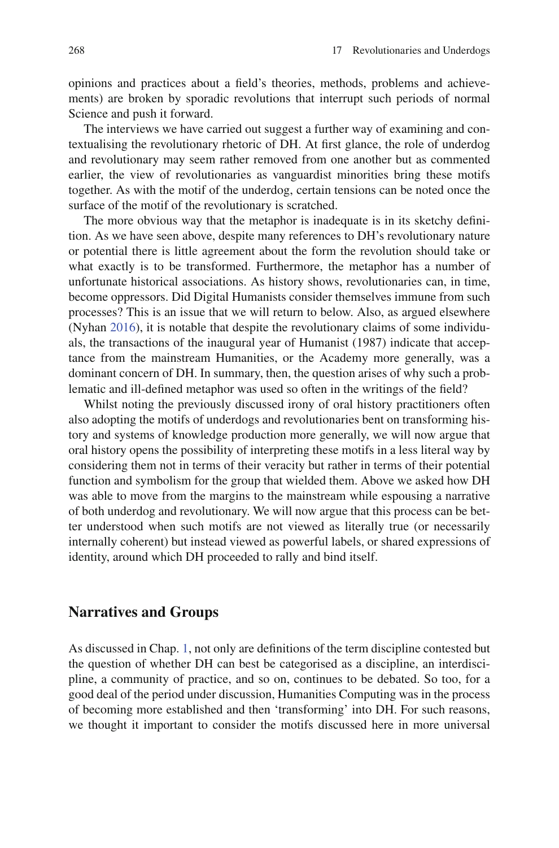opinions and practices about a field's theories, methods, problems and achievements) are broken by sporadic revolutions that interrupt such periods of normal Science and push it forward.

 The interviews we have carried out suggest a further way of examining and contextualising the revolutionary rhetoric of DH. At first glance, the role of underdog and revolutionary may seem rather removed from one another but as commented earlier, the view of revolutionaries as vanguardist minorities bring these motifs together. As with the motif of the underdog, certain tensions can be noted once the surface of the motif of the revolutionary is scratched.

The more obvious way that the metaphor is inadequate is in its sketchy definition. As we have seen above, despite many references to DH's revolutionary nature or potential there is little agreement about the form the revolution should take or what exactly is to be transformed. Furthermore, the metaphor has a number of unfortunate historical associations. As history shows, revolutionaries can, in time, become oppressors. Did Digital Humanists consider themselves immune from such processes? This is an issue that we will return to below. Also, as argued elsewhere (Nyhan 2016), it is notable that despite the revolutionary claims of some individuals, the transactions of the inaugural year of Humanist (1987) indicate that acceptance from the mainstream Humanities, or the Academy more generally, was a dominant concern of DH. In summary, then, the question arises of why such a problematic and ill-defined metaphor was used so often in the writings of the field?

 Whilst noting the previously discussed irony of oral history practitioners often also adopting the motifs of underdogs and revolutionaries bent on transforming history and systems of knowledge production more generally, we will now argue that oral history opens the possibility of interpreting these motifs in a less literal way by considering them not in terms of their veracity but rather in terms of their potential function and symbolism for the group that wielded them. Above we asked how DH was able to move from the margins to the mainstream while espousing a narrative of both underdog and revolutionary. We will now argue that this process can be better understood when such motifs are not viewed as literally true (or necessarily internally coherent) but instead viewed as powerful labels, or shared expressions of identity, around which DH proceeded to rally and bind itself.

#### **Narratives and Groups**

As discussed in Chap. [1](http://dx.doi.org/10.1007/978-3-319-20170-2_1), not only are definitions of the term discipline contested but the question of whether DH can best be categorised as a discipline, an interdiscipline, a community of practice, and so on, continues to be debated. So too, for a good deal of the period under discussion, Humanities Computing was in the process of becoming more established and then 'transforming' into DH. For such reasons, we thought it important to consider the motifs discussed here in more universal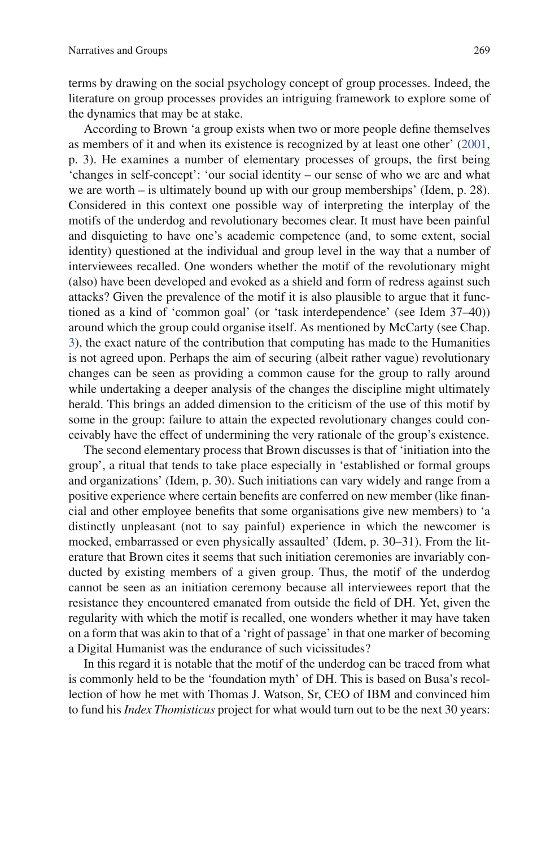terms by drawing on the social psychology concept of group processes. Indeed, the literature on group processes provides an intriguing framework to explore some of the dynamics that may be at stake.

According to Brown 'a group exists when two or more people define themselves as members of it and when its existence is recognized by at least one other'  $(2001,$ p. 3). He examines a number of elementary processes of groups, the first being 'changes in self-concept': 'our social identity – our sense of who we are and what we are worth – is ultimately bound up with our group memberships' (Idem, p. 28). Considered in this context one possible way of interpreting the interplay of the motifs of the underdog and revolutionary becomes clear. It must have been painful and disquieting to have one's academic competence (and, to some extent, social identity) questioned at the individual and group level in the way that a number of interviewees recalled. One wonders whether the motif of the revolutionary might (also) have been developed and evoked as a shield and form of redress against such attacks? Given the prevalence of the motif it is also plausible to argue that it functioned as a kind of 'common goal' (or 'task interdependence' (see Idem 37–40)) around which the group could organise itself. As mentioned by McCarty (see Chap.  [3\)](http://dx.doi.org/10.1007/978-3-319-20170-2_3), the exact nature of the contribution that computing has made to the Humanities is not agreed upon. Perhaps the aim of securing (albeit rather vague) revolutionary changes can be seen as providing a common cause for the group to rally around while undertaking a deeper analysis of the changes the discipline might ultimately herald. This brings an added dimension to the criticism of the use of this motif by some in the group: failure to attain the expected revolutionary changes could conceivably have the effect of undermining the very rationale of the group's existence.

 The second elementary process that Brown discusses is that of 'initiation into the group', a ritual that tends to take place especially in 'established or formal groups and organizations' (Idem, p. 30). Such initiations can vary widely and range from a positive experience where certain benefits are conferred on new member (like financial and other employee benefits that some organisations give new members) to 'a distinctly unpleasant (not to say painful) experience in which the newcomer is mocked, embarrassed or even physically assaulted' (Idem, p. 30–31). From the literature that Brown cites it seems that such initiation ceremonies are invariably conducted by existing members of a given group. Thus, the motif of the underdog cannot be seen as an initiation ceremony because all interviewees report that the resistance they encountered emanated from outside the field of DH. Yet, given the regularity with which the motif is recalled, one wonders whether it may have taken on a form that was akin to that of a 'right of passage' in that one marker of becoming a Digital Humanist was the endurance of such vicissitudes?

 In this regard it is notable that the motif of the underdog can be traced from what is commonly held to be the 'foundation myth' of DH. This is based on Busa's recollection of how he met with Thomas J. Watson, Sr, CEO of IBM and convinced him to fund his *Index Thomisticus* project for what would turn out to be the next 30 years: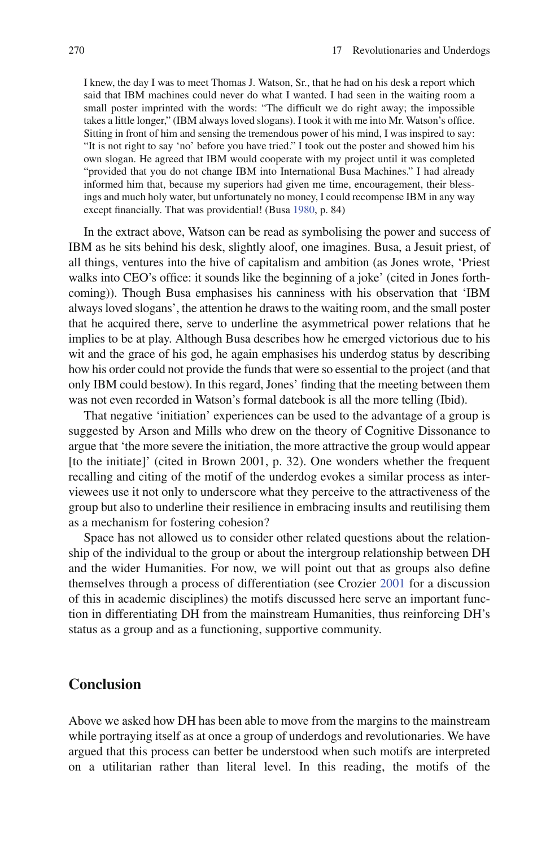I knew, the day I was to meet Thomas J. Watson, Sr., that he had on his desk a report which said that IBM machines could never do what I wanted. I had seen in the waiting room a small poster imprinted with the words: "The difficult we do right away; the impossible takes a little longer," (IBM always loved slogans). I took it with me into Mr. Watson's office. Sitting in front of him and sensing the tremendous power of his mind, I was inspired to say: "It is not right to say 'no' before you have tried." I took out the poster and showed him his own slogan. He agreed that IBM would cooperate with my project until it was completed "provided that you do not change IBM into International Busa Machines." I had already informed him that, because my superiors had given me time, encouragement, their blessings and much holy water, but unfortunately no money, I could recompense IBM in any way except financially. That was providential! (Busa [1980](#page-16-0), p. 84)

 In the extract above, Watson can be read as symbolising the power and success of IBM as he sits behind his desk, slightly aloof, one imagines. Busa, a Jesuit priest, of all things, ventures into the hive of capitalism and ambition (as Jones wrote, 'Priest walks into CEO's office: it sounds like the beginning of a joke' (cited in Jones forthcoming)). Though Busa emphasises his canniness with his observation that 'IBM always loved slogans', the attention he draws to the waiting room, and the small poster that he acquired there, serve to underline the asymmetrical power relations that he implies to be at play. Although Busa describes how he emerged victorious due to his wit and the grace of his god, he again emphasises his underdog status by describing how his order could not provide the funds that were so essential to the project (and that only IBM could bestow). In this regard, Jones' fi nding that the meeting between them was not even recorded in Watson's formal datebook is all the more telling (Ibid).

 That negative 'initiation' experiences can be used to the advantage of a group is suggested by Arson and Mills who drew on the theory of Cognitive Dissonance to argue that 'the more severe the initiation, the more attractive the group would appear [to the initiate]' (cited in Brown 2001, p. 32). One wonders whether the frequent recalling and citing of the motif of the underdog evokes a similar process as interviewees use it not only to underscore what they perceive to the attractiveness of the group but also to underline their resilience in embracing insults and reutilising them as a mechanism for fostering cohesion?

 Space has not allowed us to consider other related questions about the relationship of the individual to the group or about the intergroup relationship between DH and the wider Humanities. For now, we will point out that as groups also define themselves through a process of differentiation (see Crozier [2001](#page-16-0) for a discussion of this in academic disciplines) the motifs discussed here serve an important function in differentiating DH from the mainstream Humanities, thus reinforcing DH's status as a group and as a functioning, supportive community.

# **Conclusion**

 Above we asked how DH has been able to move from the margins to the mainstream while portraying itself as at once a group of underdogs and revolutionaries. We have argued that this process can better be understood when such motifs are interpreted on a utilitarian rather than literal level. In this reading, the motifs of the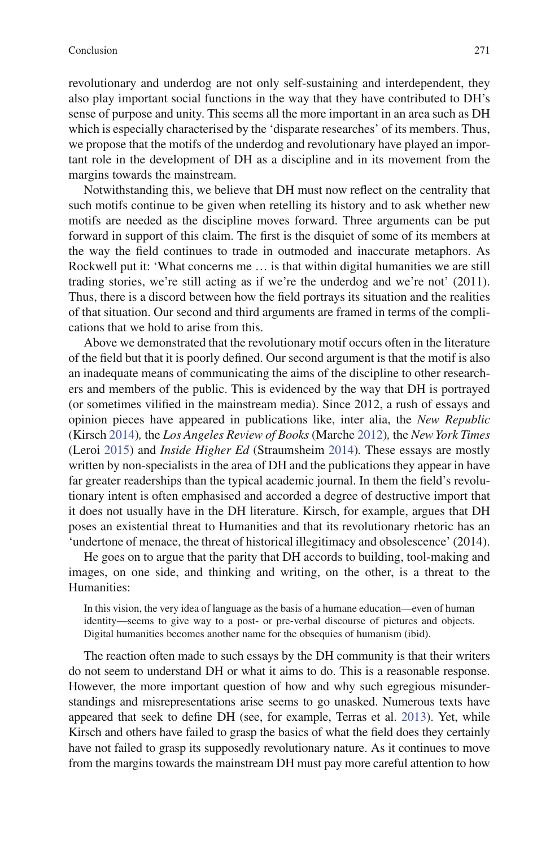revolutionary and underdog are not only self-sustaining and interdependent, they also play important social functions in the way that they have contributed to DH's sense of purpose and unity. This seems all the more important in an area such as DH which is especially characterised by the 'disparate researches' of its members. Thus, we propose that the motifs of the underdog and revolutionary have played an important role in the development of DH as a discipline and in its movement from the margins towards the mainstream.

Notwithstanding this, we believe that DH must now reflect on the centrality that such motifs continue to be given when retelling its history and to ask whether new motifs are needed as the discipline moves forward. Three arguments can be put forward in support of this claim. The first is the disquiet of some of its members at the way the field continues to trade in outmoded and inaccurate metaphors. As Rockwell put it: 'What concerns me … is that within digital humanities we are still trading stories, we're still acting as if we're the underdog and we're not' (2011). Thus, there is a discord between how the field portrays its situation and the realities of that situation. Our second and third arguments are framed in terms of the complications that we hold to arise from this.

 Above we demonstrated that the revolutionary motif occurs often in the literature of the field but that it is poorly defined. Our second argument is that the motif is also an inadequate means of communicating the aims of the discipline to other researchers and members of the public. This is evidenced by the way that DH is portrayed (or sometimes vilified in the mainstream media). Since  $2012$ , a rush of essays and opinion pieces have appeared in publications like, inter alia, the *New Republic* (Kirsch [2014 \)](#page-16-0) *,* the *Los Angeles Review of Books* (Marche [2012](#page-17-0) ) *,* the *New York Times* (Leroi 2015) and *Inside Higher Ed* (Straumsheim [2014](#page-18-0)). These essays are mostly written by non-specialists in the area of DH and the publications they appear in have far greater readerships than the typical academic journal. In them the field's revolutionary intent is often emphasised and accorded a degree of destructive import that it does not usually have in the DH literature. Kirsch, for example, argues that DH poses an existential threat to Humanities and that its revolutionary rhetoric has an 'undertone of menace, the threat of historical illegitimacy and obsolescence' (2014).

 He goes on to argue that the parity that DH accords to building, tool-making and images, on one side, and thinking and writing, on the other, is a threat to the Humanities:

 In this vision, the very idea of language as the basis of a humane education—even of human identity—seems to give way to a post- or pre-verbal discourse of pictures and objects. Digital humanities becomes another name for the obsequies of humanism (ibid).

 The reaction often made to such essays by the DH community is that their writers do not seem to understand DH or what it aims to do. This is a reasonable response. However, the more important question of how and why such egregious misunderstandings and misrepresentations arise seems to go unasked. Numerous texts have appeared that seek to define DH (see, for example, Terras et al. [2013](#page-18-0)). Yet, while Kirsch and others have failed to grasp the basics of what the field does they certainly have not failed to grasp its supposedly revolutionary nature. As it continues to move from the margins towards the mainstream DH must pay more careful attention to how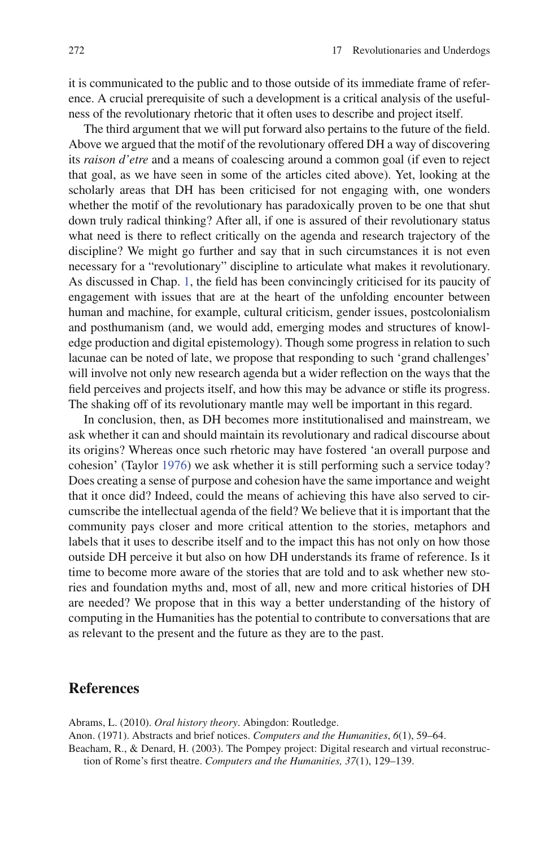<span id="page-15-0"></span>it is communicated to the public and to those outside of its immediate frame of reference. A crucial prerequisite of such a development is a critical analysis of the usefulness of the revolutionary rhetoric that it often uses to describe and project itself.

The third argument that we will put forward also pertains to the future of the field. Above we argued that the motif of the revolutionary offered DH a way of discovering its *raison d'etre* and a means of coalescing around a common goal (if even to reject that goal, as we have seen in some of the articles cited above). Yet, looking at the scholarly areas that DH has been criticised for not engaging with, one wonders whether the motif of the revolutionary has paradoxically proven to be one that shut down truly radical thinking? After all, if one is assured of their revolutionary status what need is there to reflect critically on the agenda and research trajectory of the discipline? We might go further and say that in such circumstances it is not even necessary for a "revolutionary" discipline to articulate what makes it revolutionary. As discussed in Chap. [1](http://dx.doi.org/10.1007/978-3-319-20170-2_1), the field has been convincingly criticised for its paucity of engagement with issues that are at the heart of the unfolding encounter between human and machine, for example, cultural criticism, gender issues, postcolonialism and posthumanism (and, we would add, emerging modes and structures of knowledge production and digital epistemology). Though some progress in relation to such lacunae can be noted of late, we propose that responding to such 'grand challenges' will involve not only new research agenda but a wider reflection on the ways that the field perceives and projects itself, and how this may be advance or stifle its progress. The shaking off of its revolutionary mantle may well be important in this regard.

 In conclusion, then, as DH becomes more institutionalised and mainstream, we ask whether it can and should maintain its revolutionary and radical discourse about its origins? Whereas once such rhetoric may have fostered 'an overall purpose and cohesion' (Taylor [1976](#page-18-0)) we ask whether it is still performing such a service today? Does creating a sense of purpose and cohesion have the same importance and weight that it once did? Indeed, could the means of achieving this have also served to circumscribe the intellectual agenda of the field? We believe that it is important that the community pays closer and more critical attention to the stories, metaphors and labels that it uses to describe itself and to the impact this has not only on how those outside DH perceive it but also on how DH understands its frame of reference. Is it time to become more aware of the stories that are told and to ask whether new stories and foundation myths and, most of all, new and more critical histories of DH are needed? We propose that in this way a better understanding of the history of computing in the Humanities has the potential to contribute to conversations that are as relevant to the present and the future as they are to the past.

### **References**

Abrams, L. (2010). *Oral history theory* . Abingdon: Routledge.

Anon. (1971). Abstracts and brief notices. *Computers and the Humanities* , *6* (1), 59–64.

 Beacham, R., & Denard, H. (2003). The Pompey project: Digital research and virtual reconstruction of Rome's first theatre. *Computers and the Humanities*, 37(1), 129-139.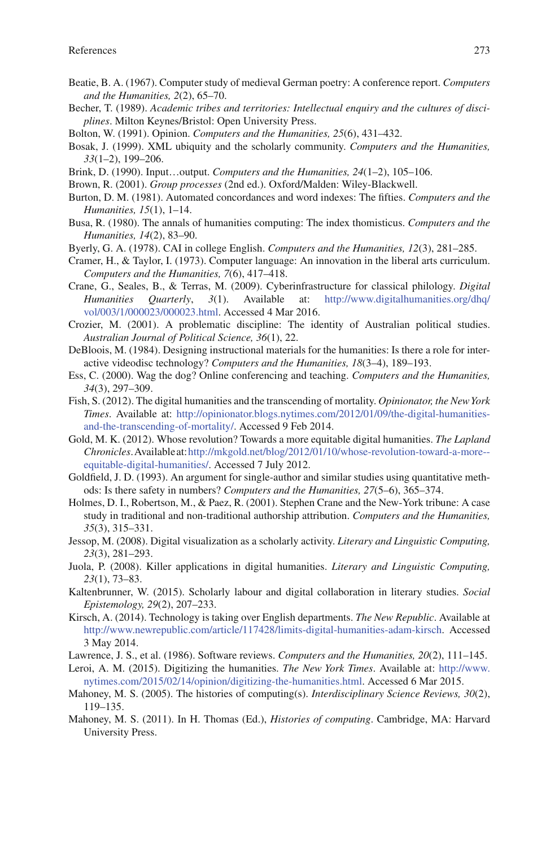- <span id="page-16-0"></span> Beatie, B. A. (1967). Computer study of medieval German poetry: A conference report. *Computers and the Humanities, 2(2), 65-70.*
- Becher, T. (1989). *Academic tribes and territories: Intellectual enquiry and the cultures of disciplines* . Milton Keynes/Bristol: Open University Press.
- Bolton, W. (1991). Opinion. *Computers and the Humanities, 25* (6), 431–432.
- Bosak, J. (1999). XML ubiquity and the scholarly community. *Computers and the Humanities, 33* (1–2), 199–206.
- Brink, D. (1990). Input…output. *Computers and the Humanities, 24* (1–2), 105–106.
- Brown, R. (2001). *Group processes* (2nd ed.). Oxford/Malden: Wiley-Blackwell.
- Burton, D. M. (1981). Automated concordances and word indexes: The fifties. *Computers and the Humanities, 15(1), 1-14.*
- Busa, R. (1980). The annals of humanities computing: The index thomisticus. *Computers and the Humanities, 14(2), 83-90.*
- Byerly, G. A. (1978). CAI in college English. *Computers and the Humanities, 12* (3), 281–285.
- Cramer, H., & Taylor, I. (1973). Computer language: An innovation in the liberal arts curriculum. *Computers and the Humanities, 7(6), 417–418.*
- Crane, G., Seales, B., & Terras, M. (2009). Cyberinfrastructure for classical philology. *Digital Humanities Quarterly* , *3* (1). Available at: [http://www.digitalhumanities.org/dhq/](http://www.digitalhumanities.org/dhq/vol/003/1/000023/000023.html) [vol/003/1/000023/000023.html.](http://www.digitalhumanities.org/dhq/vol/003/1/000023/000023.html) Accessed 4 Mar 2016.
- Crozier, M. (2001). A problematic discipline: The identity of Australian political studies. *Australian Journal of Political Science, 36* (1), 22.
- DeBloois, M. (1984). Designing instructional materials for the humanities: Is there a role for interactive videodisc technology? *Computers and the Humanities, 18* (3–4), 189–193.
- Ess, C. (2000). Wag the dog? Online conferencing and teaching. *Computers and the Humanities, 34* (3), 297–309.
- Fish, S. (2012). The digital humanities and the transcending of mortality. *Opinionator, the New York Times* . Available at: [http://opinionator.blogs.nytimes.com/2012/01/09/the-digital-humanities](http://opinionator.blogs.nytimes.com/2012/01/09/the-digital-humanities-and-the-transcending-of-mortality/)[and-the-transcending-of-mortality/.](http://opinionator.blogs.nytimes.com/2012/01/09/the-digital-humanities-and-the-transcending-of-mortality/) Accessed 9 Feb 2014.
- Gold, M. K. (2012). Whose revolution? Towards a more equitable digital humanities. *The Lapland Chronicles* . Available at: [http://mkgold.net/blog/2012/01/10/whose-revolution-toward-a-more-](http://mkgold.net/blog/2012/01/10/whose-revolution-toward-a-more-equitable-digital-humanities/)  [equitable-digital-humanities/](http://mkgold.net/blog/2012/01/10/whose-revolution-toward-a-more-equitable-digital-humanities/). Accessed 7 July 2012.
- Goldfield, J. D. (1993). An argument for single-author and similar studies using quantitative methods: Is there safety in numbers? *Computers and the Humanities*, 27(5-6), 365-374.
- Holmes, D. I., Robertson, M., & Paez, R. (2001). Stephen Crane and the New-York tribune: A case study in traditional and non-traditional authorship attribution. *Computers and the Humanities, 35* (3), 315–331.
- Jessop, M. (2008). Digital visualization as a scholarly activity. *Literary and Linguistic Computing, 23* (3), 281–293.
- Juola, P. (2008). Killer applications in digital humanities. *Literary and Linguistic Computing, 23* (1), 73–83.
- Kaltenbrunner, W. (2015). Scholarly labour and digital collaboration in literary studies. *Social Epistemology, 29(2), 207–233.*
- Kirsch, A. (2014). Technology is taking over English departments. *The New Republic* . Available at <http://www.newrepublic.com/article/117428/limits-digital-humanities-adam-kirsch>. Accessed 3 May 2014.
- Lawrence, J. S., et al. (1986). Software reviews. *Computers and the Humanities, 20*(2), 111–145.
- Leroi, A. M. (2015). Digitizing the humanities. *The New York Times* . Available at: [http://www.](http://www.nytimes.com/2015/02/14/opinion/digitizing-the-humanities.html) [nytimes.com/2015/02/14/opinion/digitizing-the-humanities.html.](http://www.nytimes.com/2015/02/14/opinion/digitizing-the-humanities.html) Accessed 6 Mar 2015.
- Mahoney, M. S. (2005). The histories of computing(s). *Interdisciplinary Science Reviews, 30*(2), 119–135.
- Mahoney, M. S. (2011). In H. Thomas (Ed.), *Histories of computing* . Cambridge, MA: Harvard University Press.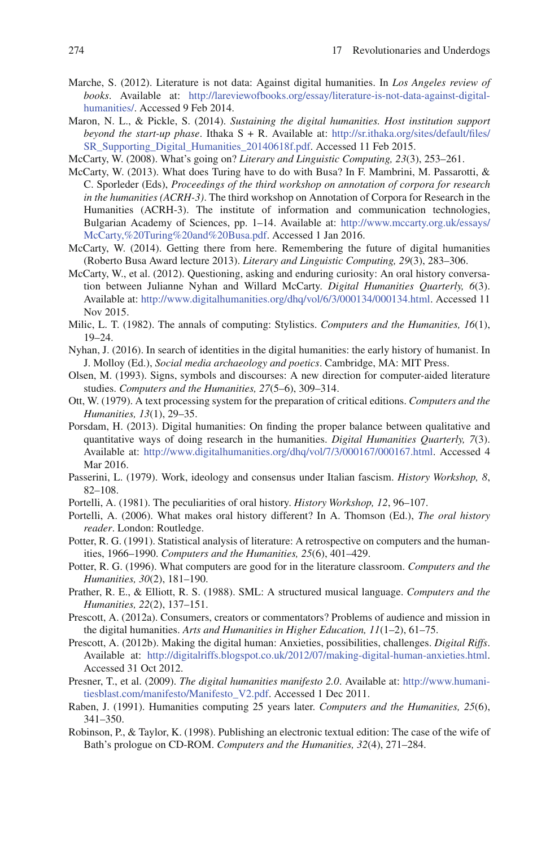- <span id="page-17-0"></span> Marche, S. (2012). Literature is not data: Against digital humanities. In *Los Angeles review of books* . Available at: [http://lareviewofbooks.org/essay/literature-is-not-data-against-digital](http://lareviewofbooks.org/essay/literature-is-not-data-against-digital-humanities/)[humanities/.](http://lareviewofbooks.org/essay/literature-is-not-data-against-digital-humanities/) Accessed 9 Feb 2014.
- Maron, N. L., & Pickle, S. (2014). *Sustaining the digital humanities. Host institution support beyond the start-up phase*. Ithaka S + R. Available at: http://sr.ithaka.org/sites/default/files/ [SR\\_Supporting\\_Digital\\_Humanities\\_20140618f.pdf](http://sr.ithaka.org/sites/default/files/SR_Supporting_Digital_Humanities_20140618f.pdf). Accessed 11 Feb 2015.
- McCarty, W. (2008). What's going on? *Literary and Linguistic Computing, 23* (3), 253–261.
- McCarty, W. (2013). What does Turing have to do with Busa? In F. Mambrini, M. Passarotti, & C. Sporleder (Eds), *Proceedings of the third workshop on annotation of corpora for research in the humanities (ACRH-3)* . The third workshop on Annotation of Corpora for Research in the Humanities (ACRH-3). The institute of information and communication technologies, Bulgarian Academy of Sciences, pp. 1–14. Available at: [http://www.mccarty.org.uk/essays/](http://www.mccarty.org.uk/essays/McCarty, Turing and Busa.pdf) [McCarty,%20Turing%20and%20Busa.pdf.](http://www.mccarty.org.uk/essays/McCarty, Turing and Busa.pdf) Accessed 1 Jan 2016.
- McCarty, W. (2014). Getting there from here. Remembering the future of digital humanities (Roberto Busa Award lecture 2013). *Literary and Linguistic Computing, 29* (3), 283–306.
- McCarty, W., et al. (2012). Questioning, asking and enduring curiosity: An oral history conversation between Julianne Nyhan and Willard McCarty. *Digital Humanities Quarterly, 6* (3). Available at: <http://www.digitalhumanities.org/dhq/vol/6/3/000134/000134.html>. Accessed 11 Nov 2015.
- Milic, L. T. (1982). The annals of computing: Stylistics. *Computers and the Humanities, 16* (1), 19–24.
- Nyhan, J. (2016). In search of identities in the digital humanities: the early history of humanist. In J. Molloy (Ed.), *Social media archaeology and poetics* . Cambridge, MA: MIT Press.
- Olsen, M. (1993). Signs, symbols and discourses: A new direction for computer-aided literature studies. *Computers and the Humanities*, 27(5-6), 309-314.
- Ott, W. (1979). A text processing system for the preparation of critical editions. *Computers and the Humanities, 13* (1), 29–35.
- Porsdam, H. (2013). Digital humanities: On finding the proper balance between qualitative and quantitative ways of doing research in the humanities. *Digital Humanities Quarterly, 7* (3). Available at: [http://www.digitalhumanities.org/dhq/vol/7/3/000167/000167.html.](http://www.digitalhumanities.org/dhq/vol/7/3/000167/000167.html) Accessed 4 Mar 2016.
- Passerini, L. (1979). Work, ideology and consensus under Italian fascism. *History Workshop, 8* , 82–108.
- Portelli, A. (1981). The peculiarities of oral history. *History Workshop, 12* , 96–107.
- Portelli, A. (2006). What makes oral history different? In A. Thomson (Ed.), *The oral history reader* . London: Routledge.
- Potter, R. G. (1991). Statistical analysis of literature: A retrospective on computers and the humanities, 1966–1990. *Computers and the Humanities, 25* (6), 401–429.
- Potter, R. G. (1996). What computers are good for in the literature classroom. *Computers and the Humanities, 30(2), 181-190.*
- Prather, R. E., & Elliott, R. S. (1988). SML: A structured musical language. *Computers and the Humanities, 22(2), 137-151.*
- Prescott, A. (2012a). Consumers, creators or commentators? Problems of audience and mission in the digital humanities. *Arts and Humanities in Higher Education, 11* (1–2), 61–75.
- Prescott, A. (2012b). Making the digital human: Anxieties, possibilities, challenges. *Digital Riffs* . Available at: <http://digitalriffs.blogspot.co.uk/2012/07/making-digital-human-anxieties.html>. Accessed 31 Oct 2012.
- Presner, T., et al. (2009). *The digital humanities manifesto 2.0* . Available at: [http://www.humani](http://www.humanitiesblast.com/manifesto/Manifesto_V2.pdf)[tiesblast.com/manifesto/Manifesto\\_V2.pdf](http://www.humanitiesblast.com/manifesto/Manifesto_V2.pdf). Accessed 1 Dec 2011.
- Raben, J. (1991). Humanities computing 25 years later. *Computers and the Humanities, 25* (6), 341–350.
- Robinson, P., & Taylor, K. (1998). Publishing an electronic textual edition: The case of the wife of Bath's prologue on CD-ROM. *Computers and the Humanities, 32* (4), 271–284.